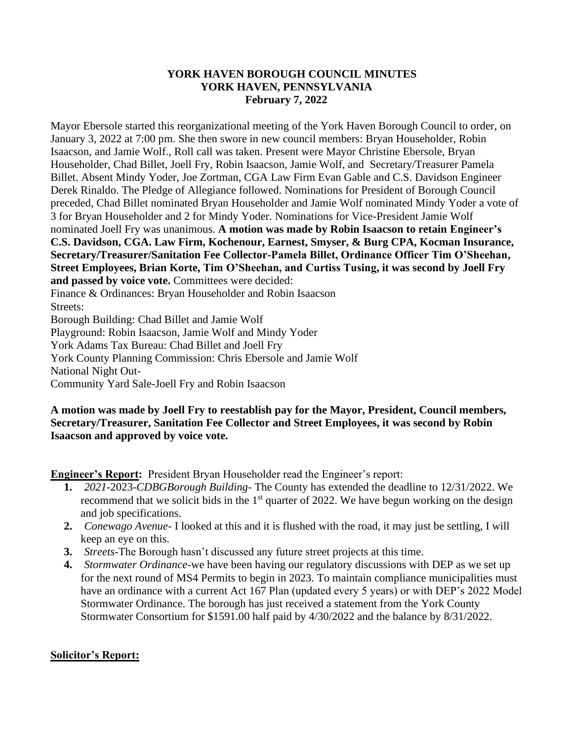#### **YORK HAVEN BOROUGH COUNCIL MINUTES YORK HAVEN, PENNSYLVANIA February 7, 2022**

Mayor Ebersole started this reorganizational meeting of the York Haven Borough Council to order, on January 3, 2022 at 7:00 pm. She then swore in new council members: Bryan Householder, Robin Isaacson, and Jamie Wolf., Roll call was taken. Present were Mayor Christine Ebersole, Bryan Householder, Chad Billet, Joell Fry, Robin Isaacson, Jamie Wolf, and Secretary/Treasurer Pamela Billet. Absent Mindy Yoder, Joe Zortman, CGA Law Firm Evan Gable and C.S. Davidson Engineer Derek Rinaldo. The Pledge of Allegiance followed. Nominations for President of Borough Council preceded, Chad Billet nominated Bryan Householder and Jamie Wolf nominated Mindy Yoder a vote of 3 for Bryan Householder and 2 for Mindy Yoder. Nominations for Vice-President Jamie Wolf nominated Joell Fry was unanimous. **A motion was made by Robin Isaacson to retain Engineer's C.S. Davidson, CGA. Law Firm, Kochenour, Earnest, Smyser, & Burg CPA, Kocman Insurance, Secretary/Treasurer/Sanitation Fee Collector-Pamela Billet, Ordinance Officer Tim O'Sheehan, Street Employees, Brian Korte, Tim O'Sheehan, and Curtiss Tusing, it was second by Joell Fry and passed by voice vote.** Committees were decided: Finance & Ordinances: Bryan Householder and Robin Isaacson Streets: Borough Building: Chad Billet and Jamie Wolf Playground: Robin Isaacson, Jamie Wolf and Mindy Yoder York Adams Tax Bureau: Chad Billet and Joell Fry York County Planning Commission: Chris Ebersole and Jamie Wolf National Night Out-Community Yard Sale-Joell Fry and Robin Isaacson

#### **A motion was made by Joell Fry to reestablish pay for the Mayor, President, Council members, Secretary/Treasurer, Sanitation Fee Collector and Street Employees, it was second by Robin Isaacson and approved by voice vote.**

**Engineer's Report:** President Bryan Householder read the Engineer's report:

- **1.** *2021-*2023-*CDBGBorough Building-* The County has extended the deadline to 12/31/2022. We recommend that we solicit bids in the  $1<sup>st</sup>$  quarter of 2022. We have begun working on the design and job specifications.
- **2.** *Conewago Avenue-* I looked at this and it is flushed with the road, it may just be settling, I will keep an eye on this.
- **3.** *Streets-*The Borough hasn't discussed any future street projects at this time.
- **4.** *Stormwater Ordinance-*we have been having our regulatory discussions with DEP as we set up for the next round of MS4 Permits to begin in 2023. To maintain compliance municipalities must have an ordinance with a current Act 167 Plan (updated every 5 years) or with DEP's 2022 Model Stormwater Ordinance. The borough has just received a statement from the York County Stormwater Consortium for \$1591.00 half paid by 4/30/2022 and the balance by 8/31/2022.

### **Solicitor's Report:**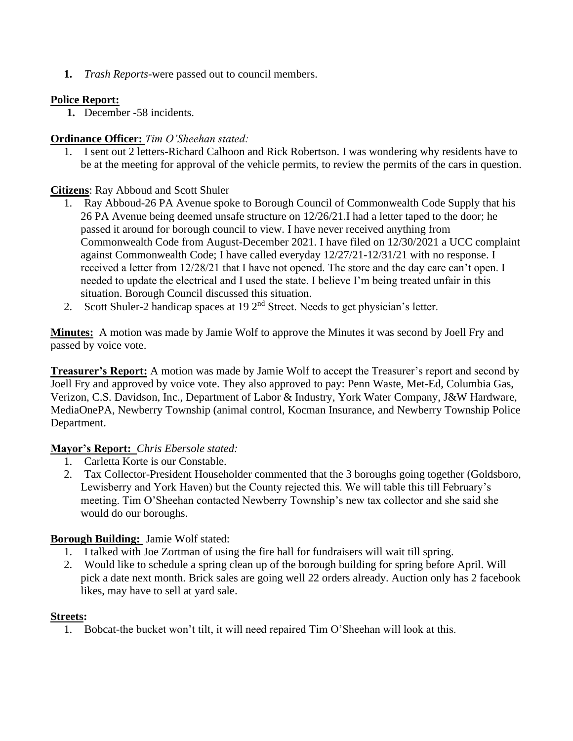**1.** *Trash Reports-*were passed out to council members.

## **Police Report:**

**1.** December -58 incidents.

## **Ordinance Officer:** *Tim O'Sheehan stated:*

1. I sent out 2 letters-Richard Calhoon and Rick Robertson. I was wondering why residents have to be at the meeting for approval of the vehicle permits, to review the permits of the cars in question.

## **Citizens**: Ray Abboud and Scott Shuler

- 1. Ray Abboud-26 PA Avenue spoke to Borough Council of Commonwealth Code Supply that his 26 PA Avenue being deemed unsafe structure on 12/26/21.I had a letter taped to the door; he passed it around for borough council to view. I have never received anything from Commonwealth Code from August-December 2021. I have filed on 12/30/2021 a UCC complaint against Commonwealth Code; I have called everyday 12/27/21-12/31/21 with no response. I received a letter from 12/28/21 that I have not opened. The store and the day care can't open. I needed to update the electrical and I used the state. I believe I'm being treated unfair in this situation. Borough Council discussed this situation.
- 2. Scott Shuler-2 handicap spaces at 19 2<sup>nd</sup> Street. Needs to get physician's letter.

**Minutes:** A motion was made by Jamie Wolf to approve the Minutes it was second by Joell Fry and passed by voice vote.

**Treasurer's Report:** A motion was made by Jamie Wolf to accept the Treasurer's report and second by Joell Fry and approved by voice vote. They also approved to pay: Penn Waste, Met-Ed, Columbia Gas, Verizon, C.S. Davidson, Inc., Department of Labor & Industry, York Water Company, J&W Hardware, MediaOnePA, Newberry Township (animal control, Kocman Insurance, and Newberry Township Police Department.

### **Mayor's Report:** *Chris Ebersole stated:*

- 1. Carletta Korte is our Constable.
- 2. Tax Collector-President Householder commented that the 3 boroughs going together (Goldsboro, Lewisberry and York Haven) but the County rejected this. We will table this till February's meeting. Tim O'Sheehan contacted Newberry Township's new tax collector and she said she would do our boroughs.

# **Borough Building:** Jamie Wolf stated:

- 1. I talked with Joe Zortman of using the fire hall for fundraisers will wait till spring.
- 2. Would like to schedule a spring clean up of the borough building for spring before April. Will pick a date next month. Brick sales are going well 22 orders already. Auction only has 2 facebook likes, may have to sell at yard sale.

### **Streets:**

1. Bobcat-the bucket won't tilt, it will need repaired Tim O'Sheehan will look at this.